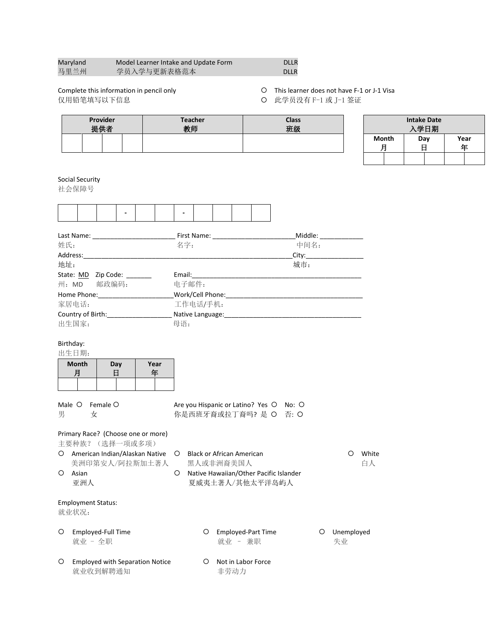| Maryland | Model Learner Intake and Update Form | <b>DLLR</b> |
|----------|--------------------------------------|-------------|
| 马里兰州     | 学员入学与更新表格范本                          | <b>DLLR</b> |

仅用铅笔填写以下信息 此学员没有 F-1 或 J-1 签证

Complete this information in pencil only This learner does not have F-1 or J-1 Visa

| Provider<br>提供者 | <b>Teacher</b><br>新师 | <b>Class</b><br>班级 |
|-----------------|----------------------|--------------------|
|                 |                      |                    |

|       | <b>Intake Date</b><br>入学日期 |           |
|-------|----------------------------|-----------|
| Month | Day                        | Year<br>任 |
|       |                            |           |

Social Security

社会保障号

| Last Name:                    | First Name:      | Middle: |
|-------------------------------|------------------|---------|
| 姓氏:                           | 名字:              | 中间名:    |
| Address:                      |                  | City:   |
| 地址:                           |                  | 城市:     |
| State: <u>MD</u><br>Zip Code: | Email:           |         |
| 邮政编码:<br>州: MD                | 电子邮件:            |         |
| Home Phone:                   | Work/Cell Phone: |         |
| 家居电话:                         | 工作电话/手机:         |         |
| Country of Birth:             | Native Language: |         |
| 出生国家:                         | 母语:              |         |

## Birthday:

出生日期:

| <b>Month</b> | Day | Year<br>玍 |
|--------------|-----|-----------|
|              |     |           |

|   | Male O Female O | Are you Hispanic or Latino? Yes O No: O |  |
|---|-----------------|-----------------------------------------|--|
| 男 |                 | 你是西班牙裔或拉丁裔吗? 是 O 否: O                   |  |

## Primary Race? (Choose one or more)

主要种族?(选择一项或多项)

- 美洲印第安人/阿拉斯加土著人 黑人或非洲裔美国人 百人 白人
- 
- O American Indian/Alaskan Native O Black or African American **Mathematical C** White
- O Asian Native Hawaiian/Other Pacific Islander 亚洲人 现象 医威夷土著人/其他太平洋岛屿人
- Employment Status:

就业状况:

- 
- Employed-Full Time Employed-Part Time Unemployed 就业 - 全职 またま すいのは まいま ありょう 赤职 おおとこ まいちょう 失业
- O Employed with Separation Notice **Notice Not** in Labor Force 就业收到解聘通知 非劳动力
-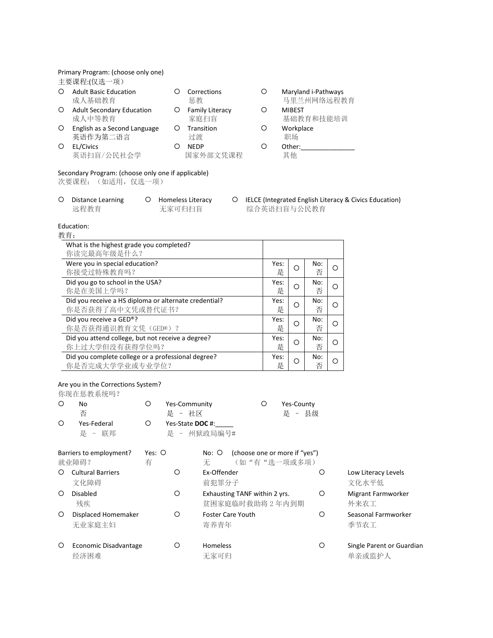|         | Primary Program: (choose only one)                                      |         |                               |   |           |               |                                   |         |                                                          |
|---------|-------------------------------------------------------------------------|---------|-------------------------------|---|-----------|---------------|-----------------------------------|---------|----------------------------------------------------------|
|         | 主要课程:(仅选一项)                                                             |         |                               |   |           |               |                                   |         |                                                          |
| O       | <b>Adult Basic Education</b><br>成人基础教育                                  | O       | Corrections<br>惩教             | O |           |               | Maryland i-Pathways<br>马里兰州网络远程教育 |         |                                                          |
| O       | <b>Adult Secondary Education</b><br>成人中等教育                              |         | O Family Literacy<br>家庭扫盲     | O |           | <b>MIBEST</b> | 基础教育和技能培训                         |         |                                                          |
| O       | English as a Second Language                                            | $\circ$ | Transition                    | O |           | Workplace     |                                   |         |                                                          |
|         | 英语作为第二语言                                                                |         | 过渡                            |   |           | 职场            |                                   |         |                                                          |
| $\circ$ | EL/Civics                                                               | $\circ$ | <b>NEDP</b>                   | O |           | Other:        |                                   |         |                                                          |
|         | 英语扫盲/公民社会学                                                              |         | 国家外部文凭课程                      |   |           | 其他            |                                   |         |                                                          |
|         | Secondary Program: (choose only one if applicable)<br>次要课程: (如适用, 仅选一项) |         |                               |   |           |               |                                   |         |                                                          |
| O       | <b>Distance Learning</b><br>远程教育                                        |         | O Homeless Literacy<br>无家可归扫盲 |   |           | 综合英语扫盲与公民教育   |                                   |         | O IELCE (Integrated English Literacy & Civics Education) |
|         | Education:                                                              |         |                               |   |           |               |                                   |         |                                                          |
| 教育:     |                                                                         |         |                               |   |           |               |                                   |         |                                                          |
|         | What is the highest grade you completed?                                |         |                               |   |           |               |                                   |         |                                                          |
|         | 你读完最高年级是什么?                                                             |         |                               |   |           |               |                                   |         |                                                          |
|         | Were you in special education?                                          |         |                               |   | Yes:      | $\circ$       | No:                               | $\circ$ |                                                          |
|         | 你接受过特殊教育吗?                                                              |         |                               |   | 是         |               | 否                                 |         |                                                          |
|         | Did you go to school in the USA?<br>你是在美国上学吗?                           |         |                               |   | Yes:<br>是 | $\bigcirc$    | No:<br>否                          | $\circ$ |                                                          |
|         | Did you receive a HS diploma or alternate credential?                   |         |                               |   | Yes:      | O             | No:                               | $\circ$ |                                                          |
|         | 你是否获得了高中文凭或替代证书?                                                        |         |                               |   | 是         |               | 否                                 |         |                                                          |
|         | Did you receive a GED®?                                                 |         |                               |   | Yes:      | O             | No:                               | O       |                                                          |
|         | 你是否获得通识教育文凭(GED®)?                                                      |         |                               |   | 是         |               | 否                                 |         |                                                          |
|         | Did you attend college, but not receive a degree?                       |         |                               |   | Yes:      | O             | No:                               | $\circ$ |                                                          |
|         | 你上过大学但没有获得学位吗?                                                          |         |                               |   | 是         |               | 否                                 |         |                                                          |
|         | Did you complete college or a professional degree?<br>你是否完成大学学业或专业学位?   |         |                               |   | Yes:<br>是 | $\circ$       | No:<br>否                          | $\circ$ |                                                          |
|         |                                                                         |         |                               |   |           |               |                                   |         |                                                          |
|         | Are you in the Corrections System?                                      |         |                               |   |           |               |                                   |         |                                                          |
|         | 你现在惩教系统吗?                                                               |         |                               |   |           |               |                                   |         |                                                          |
| O       | O<br>No                                                                 |         | Yes-Community                 | O |           | Yes-County    |                                   |         |                                                          |
|         | 否                                                                       |         | 是 - 社区                        |   |           | - 县级<br>是     |                                   |         |                                                          |
| O       | O<br>Yes-Federal                                                        |         | Yes-State DOC #:              |   |           |               |                                   |         |                                                          |

|         | Barriers to employment?<br>就业障碍? | Yes: $\bigcirc$<br>有 | (choose one or more if "yes")<br>No: O<br>(如"有"选一项或多项)<br>无 |   |                                     |
|---------|----------------------------------|----------------------|-------------------------------------------------------------|---|-------------------------------------|
| ∩       | <b>Cultural Barriers</b><br>文化障碍 | Ω                    | Fx-Offender<br>前犯罪分子                                        | O | Low Literacy Levels<br>文化水平低        |
| O       | Disabled<br>残疾                   | О                    | Exhausting TANF within 2 yrs.<br>贫困家庭临时救助将2年内到期             | O | Migrant Farmworker<br>外来农工          |
| $\circ$ | Displaced Homemaker<br>无业家庭主妇    | О                    | <b>Foster Care Youth</b><br>寄养青年                            | О | Seasonal Farmworker<br>季节农工         |
| O       | Economic Disadvantage<br>经济困难    | О                    | <b>Homeless</b><br>无家可归                                     | O | Single Parent or Guardian<br>单亲或监护人 |

是 – 联邦 インスクリット 是 – 州狱政局编号#